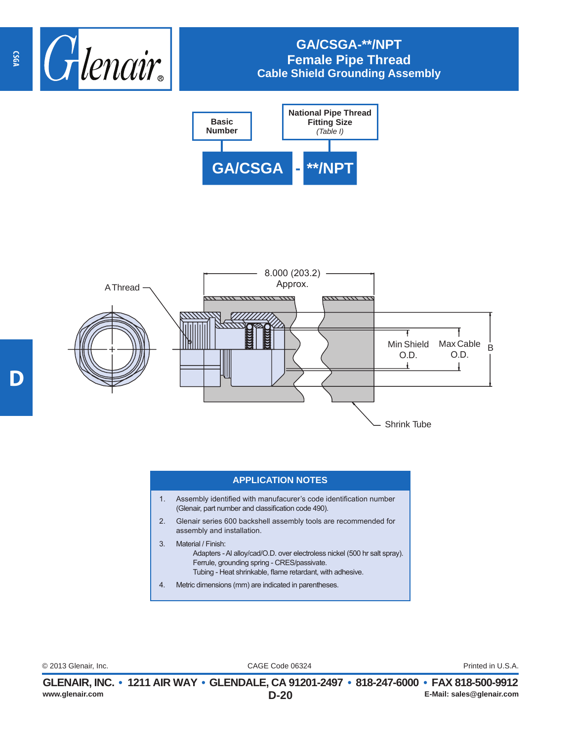

## **GA/CSGA-\*\*/NPT Female Pipe Thread Cable Shield Grounding Assembly**





## **APPLICATION NOTES**

- 1. Assembly identified with manufacurer's code identification number (Glenair, part number and classification code 490).
- 2. Glenair series 600 backshell assembly tools are recommended for assembly and installation.
- 3. Material / Finish: Adapters - Al alloy/cad/O.D. over electroless nickel (500 hr salt spray). Ferrule, grounding spring - CRES/passivate. Tubing - Heat shrinkable, flame retardant, with adhesive.
- 4. Metric dimensions (mm) are indicated in parentheses.

CAGE Code 06324 © 2013 Glenair, Inc. Printed in U.S.A.

**CSGA**